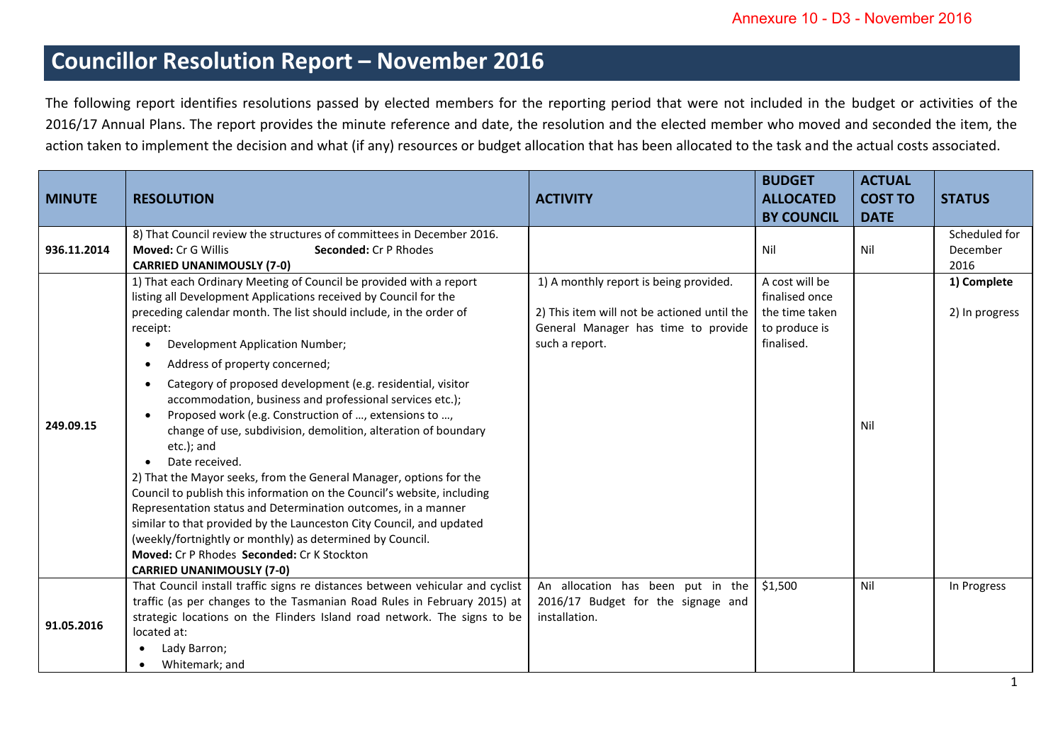## **Councillor Resolution Report – November 2016**

The following report identifies resolutions passed by elected members for the reporting period that were not included in the budget or activities of the 2016/17 Annual Plans. The report provides the minute reference and date, the resolution and the elected member who moved and seconded the item, the action taken to implement the decision and what (if any) resources or budget allocation that has been allocated to the task and the actual costs associated.

| <b>MINUTE</b> | <b>RESOLUTION</b>                                                                                                                                                                                                                                                                                                                                                                                                                                                                                                                                                                                                                                                                                                                                                                                                                                                                                                                                                                                                                                | <b>ACTIVITY</b>                                                                                                                                | <b>BUDGET</b><br><b>ALLOCATED</b>                                                 | <b>ACTUAL</b><br><b>COST TO</b> | <b>STATUS</b>                     |
|---------------|--------------------------------------------------------------------------------------------------------------------------------------------------------------------------------------------------------------------------------------------------------------------------------------------------------------------------------------------------------------------------------------------------------------------------------------------------------------------------------------------------------------------------------------------------------------------------------------------------------------------------------------------------------------------------------------------------------------------------------------------------------------------------------------------------------------------------------------------------------------------------------------------------------------------------------------------------------------------------------------------------------------------------------------------------|------------------------------------------------------------------------------------------------------------------------------------------------|-----------------------------------------------------------------------------------|---------------------------------|-----------------------------------|
|               |                                                                                                                                                                                                                                                                                                                                                                                                                                                                                                                                                                                                                                                                                                                                                                                                                                                                                                                                                                                                                                                  |                                                                                                                                                | <b>BY COUNCIL</b>                                                                 | <b>DATE</b>                     |                                   |
| 936.11.2014   | 8) That Council review the structures of committees in December 2016.<br><b>Moved: Cr G Willis</b><br><b>Seconded: Cr P Rhodes</b><br><b>CARRIED UNANIMOUSLY (7-0)</b>                                                                                                                                                                                                                                                                                                                                                                                                                                                                                                                                                                                                                                                                                                                                                                                                                                                                           |                                                                                                                                                | Nil                                                                               | Nil                             | Scheduled for<br>December<br>2016 |
| 249.09.15     | 1) That each Ordinary Meeting of Council be provided with a report<br>listing all Development Applications received by Council for the<br>preceding calendar month. The list should include, in the order of<br>receipt:<br>Development Application Number;<br>Address of property concerned;<br>$\bullet$<br>Category of proposed development (e.g. residential, visitor<br>accommodation, business and professional services etc.);<br>Proposed work (e.g. Construction of , extensions to ,<br>change of use, subdivision, demolition, alteration of boundary<br>etc.); and<br>Date received.<br>2) That the Mayor seeks, from the General Manager, options for the<br>Council to publish this information on the Council's website, including<br>Representation status and Determination outcomes, in a manner<br>similar to that provided by the Launceston City Council, and updated<br>(weekly/fortnightly or monthly) as determined by Council.<br><b>Moved: Cr P Rhodes Seconded: Cr K Stockton</b><br><b>CARRIED UNANIMOUSLY (7-0)</b> | 1) A monthly report is being provided.<br>2) This item will not be actioned until the<br>General Manager has time to provide<br>such a report. | A cost will be<br>finalised once<br>the time taken<br>to produce is<br>finalised. | Nil                             | 1) Complete<br>2) In progress     |
| 91.05.2016    | That Council install traffic signs re distances between vehicular and cyclist<br>traffic (as per changes to the Tasmanian Road Rules in February 2015) at<br>strategic locations on the Flinders Island road network. The signs to be<br>located at:<br>Lady Barron;<br>Whitemark; and                                                                                                                                                                                                                                                                                                                                                                                                                                                                                                                                                                                                                                                                                                                                                           | An allocation has been put in the<br>2016/17 Budget for the signage and<br>installation.                                                       | \$1,500                                                                           | Nil                             | In Progress                       |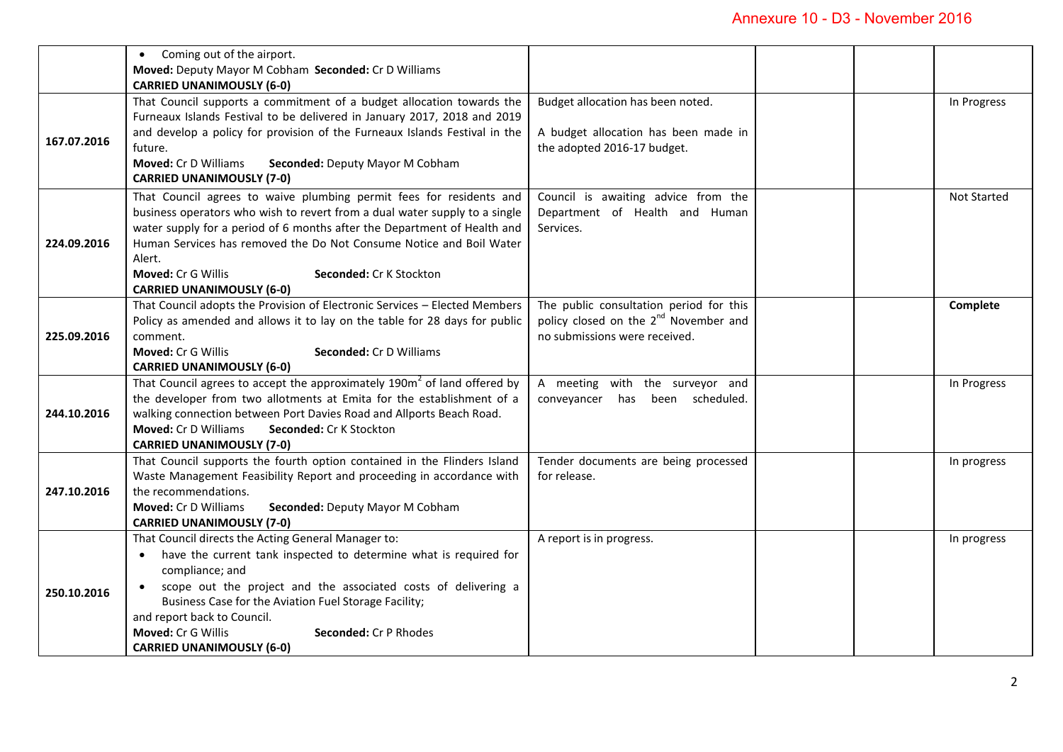|             | Coming out of the airport.<br>$\bullet$                                              |                                                   |  |                    |
|-------------|--------------------------------------------------------------------------------------|---------------------------------------------------|--|--------------------|
|             | Moved: Deputy Mayor M Cobham Seconded: Cr D Williams                                 |                                                   |  |                    |
|             | <b>CARRIED UNANIMOUSLY (6-0)</b>                                                     |                                                   |  |                    |
|             | That Council supports a commitment of a budget allocation towards the                | Budget allocation has been noted.                 |  | In Progress        |
|             |                                                                                      |                                                   |  |                    |
|             | Furneaux Islands Festival to be delivered in January 2017, 2018 and 2019             |                                                   |  |                    |
| 167.07.2016 | and develop a policy for provision of the Furneaux Islands Festival in the           | A budget allocation has been made in              |  |                    |
|             | future.                                                                              | the adopted 2016-17 budget.                       |  |                    |
|             | Moved: Cr D Williams<br>Seconded: Deputy Mayor M Cobham                              |                                                   |  |                    |
|             | <b>CARRIED UNANIMOUSLY (7-0)</b>                                                     |                                                   |  |                    |
|             | That Council agrees to waive plumbing permit fees for residents and                  | Council is awaiting advice from the               |  | <b>Not Started</b> |
|             | business operators who wish to revert from a dual water supply to a single           | Department of Health and Human                    |  |                    |
|             | water supply for a period of 6 months after the Department of Health and             | Services.                                         |  |                    |
| 224.09.2016 | Human Services has removed the Do Not Consume Notice and Boil Water                  |                                                   |  |                    |
|             | Alert.                                                                               |                                                   |  |                    |
|             | <b>Moved: Cr G Willis</b><br>Seconded: Cr K Stockton                                 |                                                   |  |                    |
|             | <b>CARRIED UNANIMOUSLY (6-0)</b>                                                     |                                                   |  |                    |
|             | That Council adopts the Provision of Electronic Services - Elected Members           | The public consultation period for this           |  | Complete           |
|             | Policy as amended and allows it to lay on the table for 28 days for public           | policy closed on the 2 <sup>nd</sup> November and |  |                    |
| 225.09.2016 | comment.                                                                             | no submissions were received.                     |  |                    |
|             | <b>Moved: Cr G Willis</b><br>Seconded: Cr D Williams                                 |                                                   |  |                    |
|             | <b>CARRIED UNANIMOUSLY (6-0)</b>                                                     |                                                   |  |                    |
|             | That Council agrees to accept the approximately 190m <sup>2</sup> of land offered by | A meeting with the surveyor and                   |  | In Progress        |
|             | the developer from two allotments at Emita for the establishment of a                | conveyancer has been scheduled.                   |  |                    |
| 244.10.2016 | walking connection between Port Davies Road and Allports Beach Road.                 |                                                   |  |                    |
|             | <b>Moved: Cr D Williams</b><br>Seconded: Cr K Stockton                               |                                                   |  |                    |
|             | <b>CARRIED UNANIMOUSLY (7-0)</b>                                                     |                                                   |  |                    |
|             | That Council supports the fourth option contained in the Flinders Island             | Tender documents are being processed              |  | In progress        |
| 247.10.2016 | Waste Management Feasibility Report and proceeding in accordance with                | for release.                                      |  |                    |
|             | the recommendations.                                                                 |                                                   |  |                    |
|             | Seconded: Deputy Mayor M Cobham<br>Moved: Cr D Williams                              |                                                   |  |                    |
|             | <b>CARRIED UNANIMOUSLY (7-0)</b>                                                     |                                                   |  |                    |
|             | That Council directs the Acting General Manager to:                                  | A report is in progress.                          |  | In progress        |
|             | have the current tank inspected to determine what is required for<br>$\bullet$       |                                                   |  |                    |
|             | compliance; and                                                                      |                                                   |  |                    |
| 250.10.2016 | scope out the project and the associated costs of delivering a                       |                                                   |  |                    |
|             | Business Case for the Aviation Fuel Storage Facility;                                |                                                   |  |                    |
|             | and report back to Council.                                                          |                                                   |  |                    |
|             | Moved: Cr G Willis<br>Seconded: Cr P Rhodes                                          |                                                   |  |                    |
|             | <b>CARRIED UNANIMOUSLY (6-0)</b>                                                     |                                                   |  |                    |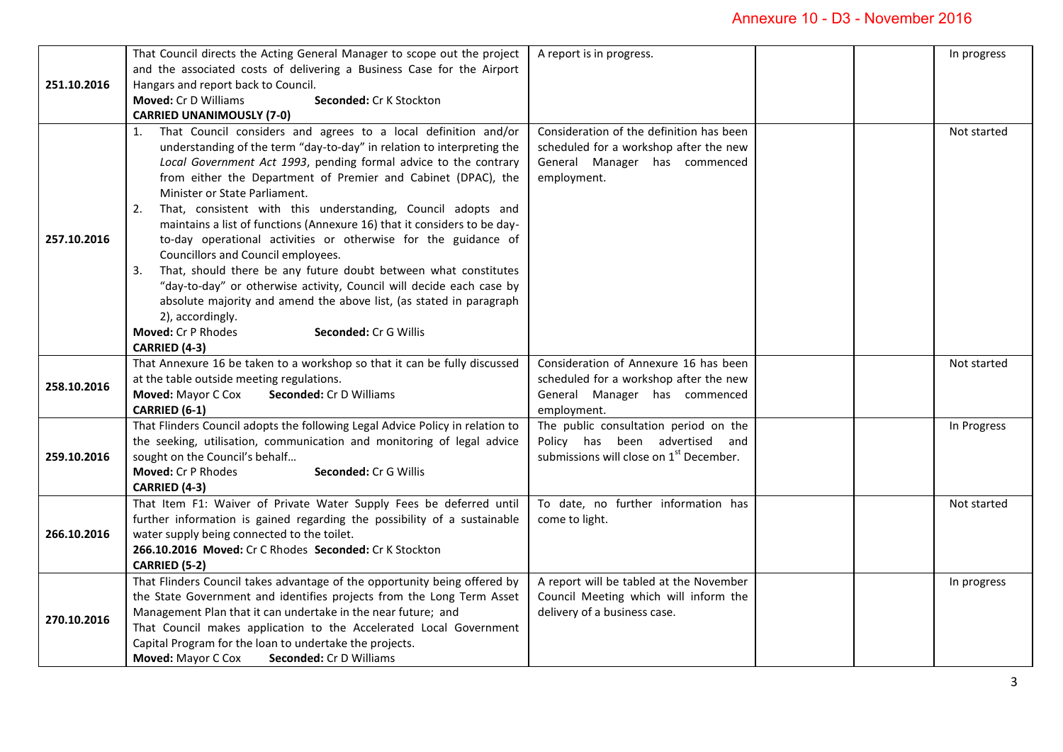## Annexure 10 - D3 - November 2016

| 251.10.2016 | That Council directs the Acting General Manager to scope out the project<br>and the associated costs of delivering a Business Case for the Airport<br>Hangars and report back to Council.<br>Moved: Cr D Williams<br>Seconded: Cr K Stockton<br><b>CARRIED UNANIMOUSLY (7-0)</b>                                                                                                                                                                                                                                                                                                                                                                                                                                                                                                                                                                                                                  | A report is in progress.                                                                                                           | In progress |
|-------------|---------------------------------------------------------------------------------------------------------------------------------------------------------------------------------------------------------------------------------------------------------------------------------------------------------------------------------------------------------------------------------------------------------------------------------------------------------------------------------------------------------------------------------------------------------------------------------------------------------------------------------------------------------------------------------------------------------------------------------------------------------------------------------------------------------------------------------------------------------------------------------------------------|------------------------------------------------------------------------------------------------------------------------------------|-------------|
| 257.10.2016 | That Council considers and agrees to a local definition and/or<br>1.<br>understanding of the term "day-to-day" in relation to interpreting the<br>Local Government Act 1993, pending formal advice to the contrary<br>from either the Department of Premier and Cabinet (DPAC), the<br>Minister or State Parliament.<br>That, consistent with this understanding, Council adopts and<br>2.<br>maintains a list of functions (Annexure 16) that it considers to be day-<br>to-day operational activities or otherwise for the guidance of<br>Councillors and Council employees.<br>That, should there be any future doubt between what constitutes<br>3.<br>"day-to-day" or otherwise activity, Council will decide each case by<br>absolute majority and amend the above list, (as stated in paragraph<br>2), accordingly.<br>Moved: Cr P Rhodes<br><b>Seconded: Cr G Willis</b><br>CARRIED (4-3) | Consideration of the definition has been<br>scheduled for a workshop after the new<br>General Manager has commenced<br>employment. | Not started |
| 258.10.2016 | That Annexure 16 be taken to a workshop so that it can be fully discussed<br>at the table outside meeting regulations.<br>Moved: Mayor C Cox<br>Seconded: Cr D Williams<br>CARRIED (6-1)                                                                                                                                                                                                                                                                                                                                                                                                                                                                                                                                                                                                                                                                                                          | Consideration of Annexure 16 has been<br>scheduled for a workshop after the new<br>General Manager has commenced<br>employment.    | Not started |
| 259.10.2016 | That Flinders Council adopts the following Legal Advice Policy in relation to<br>the seeking, utilisation, communication and monitoring of legal advice<br>sought on the Council's behalf<br>Moved: Cr P Rhodes<br><b>Seconded: Cr G Willis</b><br>CARRIED (4-3)                                                                                                                                                                                                                                                                                                                                                                                                                                                                                                                                                                                                                                  | The public consultation period on the<br>Policy has been advertised and<br>submissions will close on 1 <sup>st</sup> December.     | In Progress |
| 266.10.2016 | That Item F1: Waiver of Private Water Supply Fees be deferred until<br>further information is gained regarding the possibility of a sustainable<br>water supply being connected to the toilet.<br>266.10.2016 Moved: Cr C Rhodes Seconded: Cr K Stockton<br>CARRIED (5-2)                                                                                                                                                                                                                                                                                                                                                                                                                                                                                                                                                                                                                         | To date, no further information has<br>come to light.                                                                              | Not started |
| 270.10.2016 | That Flinders Council takes advantage of the opportunity being offered by<br>the State Government and identifies projects from the Long Term Asset<br>Management Plan that it can undertake in the near future; and<br>That Council makes application to the Accelerated Local Government<br>Capital Program for the loan to undertake the projects.<br>Moved: Mayor C Cox<br><b>Seconded: Cr D Williams</b>                                                                                                                                                                                                                                                                                                                                                                                                                                                                                      | A report will be tabled at the November<br>Council Meeting which will inform the<br>delivery of a business case.                   | In progress |